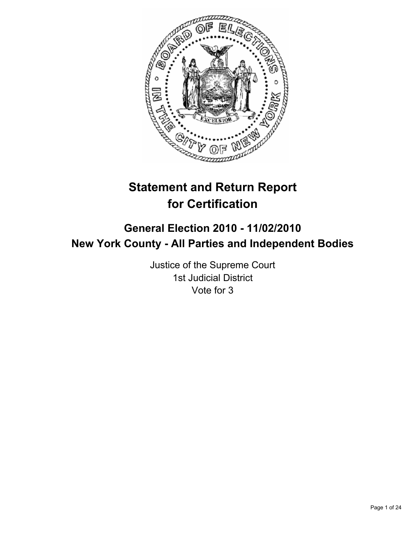

# **Statement and Return Report for Certification**

# **General Election 2010 - 11/02/2010 New York County - All Parties and Independent Bodies**

Justice of the Supreme Court 1st Judicial District Vote for 3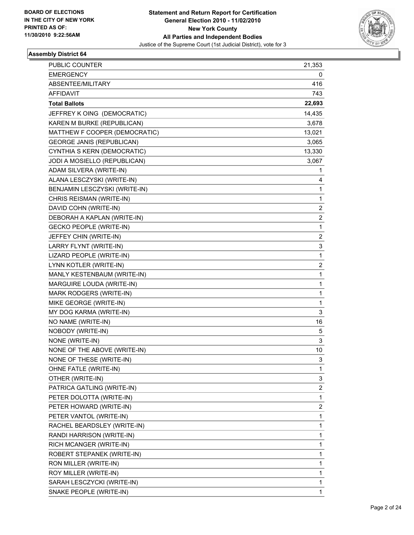

| <b>PUBLIC COUNTER</b>            | 21,353         |
|----------------------------------|----------------|
| <b>EMERGENCY</b>                 | 0              |
| ABSENTEE/MILITARY                | 416            |
| <b>AFFIDAVIT</b>                 | 743            |
| <b>Total Ballots</b>             | 22,693         |
| JEFFREY K OING (DEMOCRATIC)      | 14,435         |
| KAREN M BURKE (REPUBLICAN)       | 3,678          |
| MATTHEW F COOPER (DEMOCRATIC)    | 13,021         |
| <b>GEORGE JANIS (REPUBLICAN)</b> | 3,065          |
| CYNTHIA S KERN (DEMOCRATIC)      | 13,330         |
| JODI A MOSIELLO (REPUBLICAN)     | 3,067          |
| ADAM SILVERA (WRITE-IN)          | 1              |
| ALANA LESCZYSKI (WRITE-IN)       | 4              |
| BENJAMIN LESCZYSKI (WRITE-IN)    | 1              |
| CHRIS REISMAN (WRITE-IN)         | 1              |
| DAVID COHN (WRITE-IN)            | $\overline{2}$ |
| DEBORAH A KAPLAN (WRITE-IN)      | 2              |
| <b>GECKO PEOPLE (WRITE-IN)</b>   | 1              |
| JEFFEY CHIN (WRITE-IN)           | $\overline{2}$ |
| LARRY FLYNT (WRITE-IN)           | 3              |
| LIZARD PEOPLE (WRITE-IN)         | 1              |
| LYNN KOTLER (WRITE-IN)           | 2              |
| MANLY KESTENBAUM (WRITE-IN)      | 1              |
| MARGUIRE LOUDA (WRITE-IN)        | 1              |
| MARK RODGERS (WRITE-IN)          | 1              |
| MIKE GEORGE (WRITE-IN)           | 1              |
| MY DOG KARMA (WRITE-IN)          | 3              |
| NO NAME (WRITE-IN)               | 16             |
| NOBODY (WRITE-IN)                | 5              |
| NONE (WRITE-IN)                  | 3              |
| NONE OF THE ABOVE (WRITE-IN)     | 10             |
| NONE OF THESE (WRITE-IN)         | 3              |
| OHNE FATLE (WRITE-IN)            | 1              |
| OTHER (WRITE-IN)                 | 3              |
| PATRICA GATLING (WRITE-IN)       | 2              |
| PETER DOLOTTA (WRITE-IN)         | 1              |
| PETER HOWARD (WRITE-IN)          | 2              |
| PETER VANTOL (WRITE-IN)          | 1              |
| RACHEL BEARDSLEY (WRITE-IN)      | 1              |
| RANDI HARRISON (WRITE-IN)        | 1              |
| RICH MCANGER (WRITE-IN)          | 1              |
| ROBERT STEPANEK (WRITE-IN)       | 1              |
| RON MILLER (WRITE-IN)            | 1              |
| ROY MILLER (WRITE-IN)            | 1              |
| SARAH LESCZYCKI (WRITE-IN)       | 1              |
| SNAKE PEOPLE (WRITE-IN)          | 1              |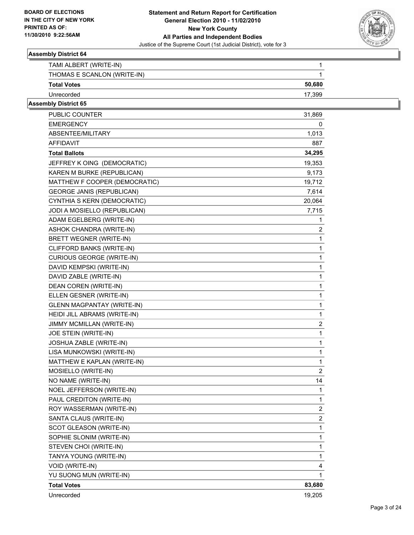

| TAMI ALBERT (WRITE-IN)      |        |
|-----------------------------|--------|
| THOMAS E SCANLON (WRITE-IN) |        |
| <b>Total Votes</b>          | 50,680 |
| Unrecorded                  | 17.399 |

| <b>PUBLIC COUNTER</b>             | 31,869         |
|-----------------------------------|----------------|
| <b>EMERGENCY</b>                  | 0              |
| ABSENTEE/MILITARY                 | 1,013          |
| <b>AFFIDAVIT</b>                  | 887            |
| <b>Total Ballots</b>              | 34,295         |
| JEFFREY K OING (DEMOCRATIC)       | 19,353         |
| KAREN M BURKE (REPUBLICAN)        | 9,173          |
| MATTHEW F COOPER (DEMOCRATIC)     | 19,712         |
| <b>GEORGE JANIS (REPUBLICAN)</b>  | 7,614          |
| CYNTHIA S KERN (DEMOCRATIC)       | 20,064         |
| JODI A MOSIELLO (REPUBLICAN)      | 7,715          |
| ADAM EGELBERG (WRITE-IN)          | 1              |
| ASHOK CHANDRA (WRITE-IN)          | 2              |
| BRETT WEGNER (WRITE-IN)           | 1              |
| CLIFFORD BANKS (WRITE-IN)         | 1              |
| <b>CURIOUS GEORGE (WRITE-IN)</b>  | 1              |
| DAVID KEMPSKI (WRITE-IN)          | 1              |
| DAVID ZABLE (WRITE-IN)            | 1              |
| DEAN COREN (WRITE-IN)             | 1              |
| ELLEN GESNER (WRITE-IN)           | 1              |
| <b>GLENN MAGPANTAY (WRITE-IN)</b> | 1              |
| HEIDI JILL ABRAMS (WRITE-IN)      | 1              |
| JIMMY MCMILLAN (WRITE-IN)         | 2              |
| JOE STEIN (WRITE-IN)              | 1              |
| JOSHUA ZABLE (WRITE-IN)           | 1              |
| LISA MUNKOWSKI (WRITE-IN)         | 1              |
| MATTHEW E KAPLAN (WRITE-IN)       | 1              |
| MOSIELLO (WRITE-IN)               | $\overline{2}$ |
| NO NAME (WRITE-IN)                | 14             |
| NOEL JEFFERSON (WRITE-IN)         | 1              |
| PAUL CREDITON (WRITE-IN)          | 1              |
| ROY WASSERMAN (WRITE-IN)          | $\overline{2}$ |
| SANTA CLAUS (WRITE-IN)            | 2              |
| SCOT GLEASON (WRITE-IN)           | 1              |
| SOPHIE SLONIM (WRITE-IN)          | 1              |
| STEVEN CHOI (WRITE-IN)            | 1              |
| TANYA YOUNG (WRITE-IN)            | 1              |
| VOID (WRITE-IN)                   | 4              |
| YU SUONG MUN (WRITE-IN)           | 1              |
| <b>Total Votes</b>                | 83,680         |
| Unrecorded                        | 19,205         |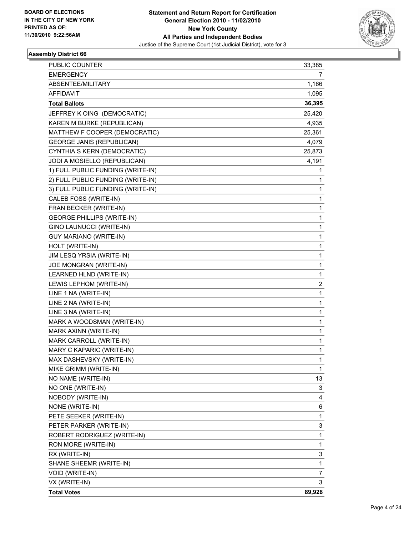

| PUBLIC COUNTER                    | 33,385       |
|-----------------------------------|--------------|
| <b>EMERGENCY</b>                  | 7            |
| ABSENTEE/MILITARY                 | 1,166        |
| <b>AFFIDAVIT</b>                  | 1,095        |
| <b>Total Ballots</b>              | 36,395       |
| JEFFREY K OING (DEMOCRATIC)       | 25,420       |
| KAREN M BURKE (REPUBLICAN)        | 4,935        |
| MATTHEW F COOPER (DEMOCRATIC)     | 25,361       |
| <b>GEORGE JANIS (REPUBLICAN)</b>  | 4,079        |
| CYNTHIA S KERN (DEMOCRATIC)       | 25,873       |
| JODI A MOSIELLO (REPUBLICAN)      | 4,191        |
| 1) FULL PUBLIC FUNDING (WRITE-IN) | 1            |
| 2) FULL PUBLIC FUNDING (WRITE-IN) | 1            |
| 3) FULL PUBLIC FUNDING (WRITE-IN) | 1            |
| CALEB FOSS (WRITE-IN)             | 1            |
| FRAN BECKER (WRITE-IN)            | 1            |
| <b>GEORGE PHILLIPS (WRITE-IN)</b> | 1            |
| GINO LAUNUCCI (WRITE-IN)          | 1            |
| <b>GUY MARIANO (WRITE-IN)</b>     | 1            |
| HOLT (WRITE-IN)                   | 1            |
| JIM LESQ YRSIA (WRITE-IN)         | 1            |
| JOE MONGRAN (WRITE-IN)            | 1            |
| LEARNED HLND (WRITE-IN)           | 1            |
| LEWIS LEPHOM (WRITE-IN)           | 2            |
| LINE 1 NA (WRITE-IN)              | 1            |
| LINE 2 NA (WRITE-IN)              | $\mathbf{1}$ |
| LINE 3 NA (WRITE-IN)              | 1            |
| MARK A WOODSMAN (WRITE-IN)        | 1            |
| MARK AXINN (WRITE-IN)             | 1            |
| MARK CARROLL (WRITE-IN)           | 1            |
| MARY C KAPARIC (WRITE-IN)         | 1            |
| MAX DASHEVSKY (WRITE-IN)          | 1            |
| MIKE GRIMM (WRITE-IN)             | 1            |
| NO NAME (WRITE-IN)                | 13           |
| NO ONE (WRITE-IN)                 | 3            |
| NOBODY (WRITE-IN)                 | 4            |
| NONE (WRITE-IN)                   | 6            |
| PETE SEEKER (WRITE-IN)            | 1            |
| PETER PARKER (WRITE-IN)           | 3            |
| ROBERT RODRIGUEZ (WRITE-IN)       | 1            |
| RON MORE (WRITE-IN)               | $\mathbf{1}$ |
| RX (WRITE-IN)                     | 3            |
| SHANE SHEEMR (WRITE-IN)           | 1            |
| VOID (WRITE-IN)                   | 7            |
| VX (WRITE-IN)                     | 3            |
| <b>Total Votes</b>                | 89,928       |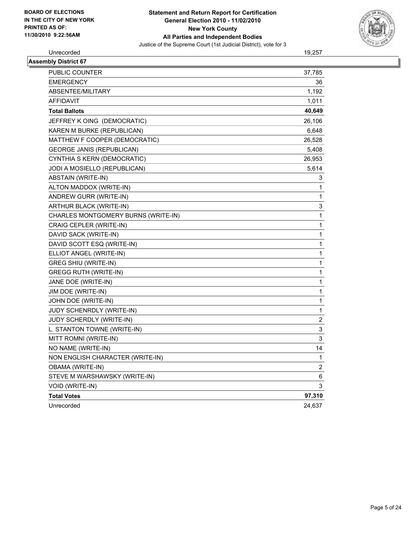

# Unrecorded 19,257

| <b>Assembly District 67</b>         |              |
|-------------------------------------|--------------|
| PUBLIC COUNTER                      | 37,785       |
| <b>EMERGENCY</b>                    | 36           |
| ABSENTEE/MILITARY                   | 1,192        |
| <b>AFFIDAVIT</b>                    | 1,011        |
| <b>Total Ballots</b>                | 40,649       |
| JEFFREY K OING (DEMOCRATIC)         | 26,106       |
| KAREN M BURKE (REPUBLICAN)          | 6,648        |
| MATTHEW F COOPER (DEMOCRATIC)       | 26,528       |
| <b>GEORGE JANIS (REPUBLICAN)</b>    | 5,408        |
| CYNTHIA S KERN (DEMOCRATIC)         | 26,953       |
| JODI A MOSIELLO (REPUBLICAN)        | 5,614        |
| ABSTAIN (WRITE-IN)                  | 3            |
| ALTON MADDOX (WRITE-IN)             | 1            |
| ANDREW GURR (WRITE-IN)              | 1            |
| ARTHUR BLACK (WRITE-IN)             | 3            |
| CHARLES MONTGOMERY BURNS (WRITE-IN) | $\mathbf{1}$ |
| CRAIG CEPLER (WRITE-IN)             | 1            |
| DAVID SACK (WRITE-IN)               | 1            |
| DAVID SCOTT ESQ (WRITE-IN)          | 1            |
| ELLIOT ANGEL (WRITE-IN)             | 1            |
| GREG SHIU (WRITE-IN)                | 1            |
| GREGG RUTH (WRITE-IN)               | 1            |
| JANE DOE (WRITE-IN)                 | 1            |
| JIM DOE (WRITE-IN)                  | 1            |
| JOHN DOE (WRITE-IN)                 | 1            |
| JUDY SCHENRDLY (WRITE-IN)           | 1            |
| JUDY SCHERDLY (WRITE-IN)            | 2            |
| L. STANTON TOWNE (WRITE-IN)         | 3            |
| MITT ROMNI (WRITE-IN)               | 3            |
| NO NAME (WRITE-IN)                  | 14           |
| NON ENGLISH CHARACTER (WRITE-IN)    | 1            |
| OBAMA (WRITE-IN)                    | 2            |
| STEVE M WARSHAWSKY (WRITE-IN)       | 6            |
| VOID (WRITE-IN)                     | 3            |
| <b>Total Votes</b>                  | 97,310       |
| Unrecorded                          | 24,637       |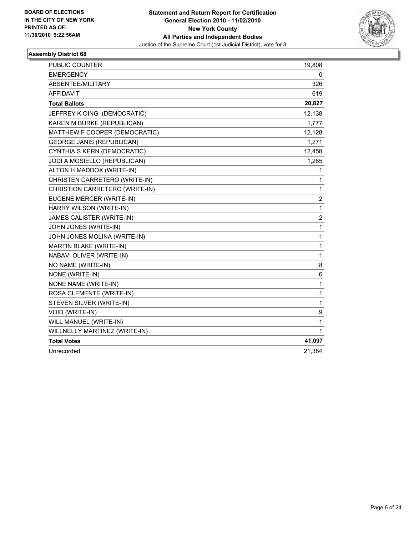

| <b>PUBLIC COUNTER</b>            | 19,808         |
|----------------------------------|----------------|
| <b>EMERGENCY</b>                 | 0              |
| ABSENTEE/MILITARY                | 326            |
| <b>AFFIDAVIT</b>                 | 619            |
| <b>Total Ballots</b>             | 20,827         |
| JEFFREY K OING (DEMOCRATIC)      | 12,138         |
| KAREN M BURKE (REPUBLICAN)       | 1,777          |
| MATTHEW F COOPER (DEMOCRATIC)    | 12,128         |
| <b>GEORGE JANIS (REPUBLICAN)</b> | 1,271          |
| CYNTHIA S KERN (DEMOCRATIC)      | 12,458         |
| JODI A MOSIELLO (REPUBLICAN)     | 1,285          |
| ALTON H MADDOX (WRITE-IN)        | 1              |
| CHRISTEN CARRETERO (WRITE-IN)    | 1              |
| CHRISTION CARRETERO (WRITE-IN)   | 1              |
| EUGENE MERCER (WRITE-IN)         | 2              |
| HARRY WILSON (WRITE-IN)          | 1              |
| JAMES CALISTER (WRITE-IN)        | $\overline{c}$ |
| JOHN JONES (WRITE-IN)            | 1              |
| JOHN JONES MOLINA (WRITE-IN)     | 1              |
| MARTIN BLAKE (WRITE-IN)          | 1              |
| NABAVI OLIVER (WRITE-IN)         | 1              |
| NO NAME (WRITE-IN)               | 8              |
| NONE (WRITE-IN)                  | 6              |
| NONE NAME (WRITE-IN)             | 1              |
| ROSA CLEMENTE (WRITE-IN)         | 1              |
| STEVEN SILVER (WRITE-IN)         | 1              |
| VOID (WRITE-IN)                  | 9              |
| WILL MANUEL (WRITE-IN)           | 1              |
| WILLNELLY MARTINEZ (WRITE-IN)    | 1              |
| <b>Total Votes</b>               | 41,097         |
| Unrecorded                       | 21,384         |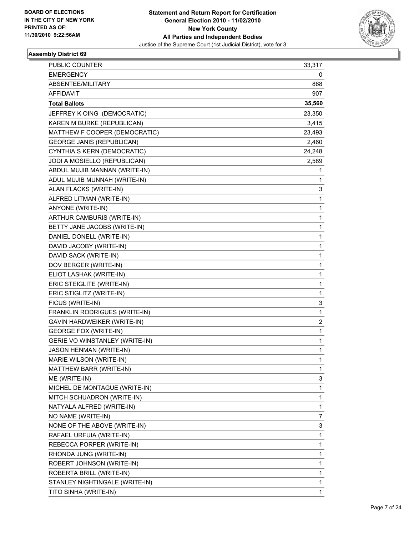

| PUBLIC COUNTER                   | 33,317 |
|----------------------------------|--------|
| <b>EMERGENCY</b>                 | 0      |
| ABSENTEE/MILITARY                | 868    |
| <b>AFFIDAVIT</b>                 | 907    |
| <b>Total Ballots</b>             | 35,560 |
| JEFFREY K OING (DEMOCRATIC)      | 23,350 |
| KAREN M BURKE (REPUBLICAN)       | 3,415  |
| MATTHEW F COOPER (DEMOCRATIC)    | 23,493 |
| <b>GEORGE JANIS (REPUBLICAN)</b> | 2,460  |
| CYNTHIA S KERN (DEMOCRATIC)      | 24,248 |
| JODI A MOSIELLO (REPUBLICAN)     | 2,589  |
| ABDUL MUJIB MANNAN (WRITE-IN)    | 1      |
| ADUL MUJIB MUNNAH (WRITE-IN)     | 1      |
| ALAN FLACKS (WRITE-IN)           | 3      |
| ALFRED LITMAN (WRITE-IN)         | 1      |
| ANYONE (WRITE-IN)                | 1      |
| ARTHUR CAMBURIS (WRITE-IN)       | 1      |
| BETTY JANE JACOBS (WRITE-IN)     | 1      |
| DANIEL DONELL (WRITE-IN)         | 1      |
| DAVID JACOBY (WRITE-IN)          | 1      |
| DAVID SACK (WRITE-IN)            | 1      |
| DOV BERGER (WRITE-IN)            | 1      |
| ELIOT LASHAK (WRITE-IN)          | 1      |
| ERIC STEIGLITE (WRITE-IN)        | 1      |
| ERIC STIGLITZ (WRITE-IN)         | 1      |
| FICUS (WRITE-IN)                 | 3      |
| FRANKLIN RODRIGUES (WRITE-IN)    | 1      |
| GAVIN HARDWEIKER (WRITE-IN)      | 2      |
| <b>GEORGE FOX (WRITE-IN)</b>     | 1      |
| GERIE VO WINSTANLEY (WRITE-IN)   | 1      |
| <b>JASON HENMAN (WRITE-IN)</b>   | 1      |
| MARIE WILSON (WRITE-IN)          | 1      |
| MATTHEW BARR (WRITE-IN)          | 1      |
| ME (WRITE-IN)                    | 3      |
| MICHEL DE MONTAGUE (WRITE-IN)    | 1      |
| MITCH SCHUADRON (WRITE-IN)       | 1      |
| NATYALA ALFRED (WRITE-IN)        | 1      |
| NO NAME (WRITE-IN)               | 7      |
| NONE OF THE ABOVE (WRITE-IN)     | 3      |
| RAFAEL URFUIA (WRITE-IN)         | 1      |
| REBECCA PORPER (WRITE-IN)        | 1      |
| RHONDA JUNG (WRITE-IN)           | 1      |
| ROBERT JOHNSON (WRITE-IN)        | 1      |
| ROBERTA BRILL (WRITE-IN)         | 1      |
| STANLEY NIGHTINGALE (WRITE-IN)   | 1      |
| TITO SINHA (WRITE-IN)            | 1      |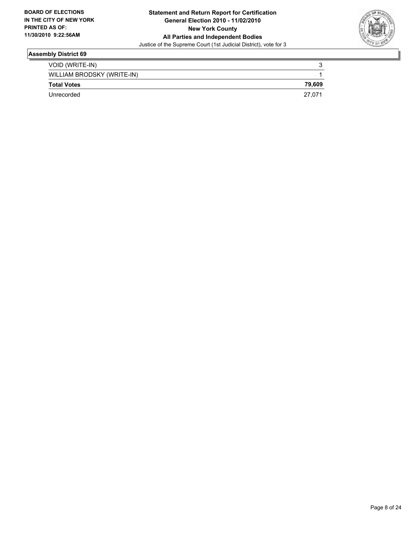

| VOID (WRITE-IN)            | າ      |
|----------------------------|--------|
| WILLIAM BRODSKY (WRITE-IN) |        |
| <b>Total Votes</b>         | 79.609 |
| Unrecorded                 | 27.071 |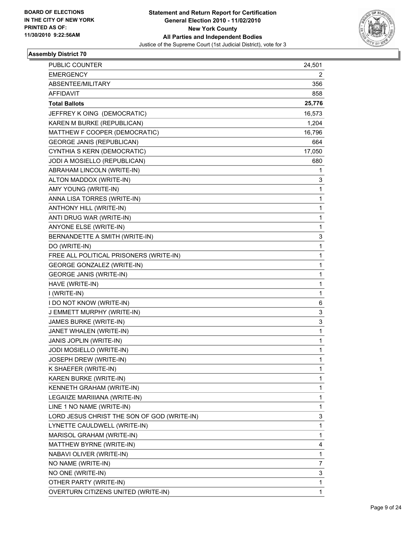

| PUBLIC COUNTER                              | 24,501 |
|---------------------------------------------|--------|
| <b>EMERGENCY</b>                            | 2      |
| ABSENTEE/MILITARY                           | 356    |
| <b>AFFIDAVIT</b>                            | 858    |
| <b>Total Ballots</b>                        | 25,776 |
| JEFFREY K OING (DEMOCRATIC)                 | 16,573 |
| KAREN M BURKE (REPUBLICAN)                  | 1,204  |
| MATTHEW F COOPER (DEMOCRATIC)               | 16,796 |
| <b>GEORGE JANIS (REPUBLICAN)</b>            | 664    |
| CYNTHIA S KERN (DEMOCRATIC)                 | 17,050 |
| JODI A MOSIELLO (REPUBLICAN)                | 680    |
| ABRAHAM LINCOLN (WRITE-IN)                  | 1      |
| ALTON MADDOX (WRITE-IN)                     | 3      |
| AMY YOUNG (WRITE-IN)                        | 1      |
| ANNA LISA TORRES (WRITE-IN)                 | 1      |
| ANTHONY HILL (WRITE-IN)                     | 1      |
| ANTI DRUG WAR (WRITE-IN)                    | 1      |
| ANYONE ELSE (WRITE-IN)                      | 1      |
| BERNANDETTE A SMITH (WRITE-IN)              | 3      |
| DO (WRITE-IN)                               | 1      |
| FREE ALL POLITICAL PRISONERS (WRITE-IN)     | 1      |
| <b>GEORGE GONZALEZ (WRITE-IN)</b>           | 1      |
| <b>GEORGE JANIS (WRITE-IN)</b>              | 1      |
| HAVE (WRITE-IN)                             | 1      |
| I (WRITE-IN)                                | 1      |
| I DO NOT KNOW (WRITE-IN)                    | 6      |
| J EMMETT MURPHY (WRITE-IN)                  | 3      |
| JAMES BURKE (WRITE-IN)                      | 3      |
| JANET WHALEN (WRITE-IN)                     | 1      |
| JANIS JOPLIN (WRITE-IN)                     | 1      |
| JODI MOSIELLO (WRITE-IN)                    | 1      |
| JOSEPH DREW (WRITE-IN)                      | 1      |
| K SHAEFER (WRITE-IN)                        | 1      |
| KAREN BURKE (WRITE-IN)                      | 1      |
| KENNETH GRAHAM (WRITE-IN)                   | 1      |
| LEGAIIZE MARIIIANA (WRITE-IN)               | 1      |
| LINE 1 NO NAME (WRITE-IN)                   | 1      |
| LORD JESUS CHRIST THE SON OF GOD (WRITE-IN) | 3      |
| LYNETTE CAULDWELL (WRITE-IN)                | 1      |
| MARISOL GRAHAM (WRITE-IN)                   | 1      |
| MATTHEW BYRNE (WRITE-IN)                    | 4      |
| NABAVI OLIVER (WRITE-IN)                    | 1      |
| NO NAME (WRITE-IN)                          | 7      |
| NO ONE (WRITE-IN)                           | 3      |
| OTHER PARTY (WRITE-IN)                      | 1      |
| OVERTURN CITIZENS UNITED (WRITE-IN)         | 1      |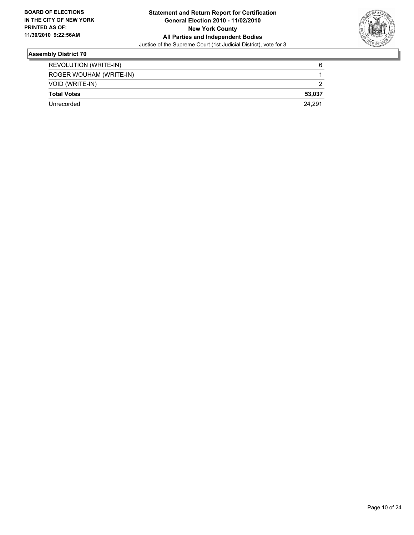

| REVOLUTION (WRITE-IN)   | 6      |
|-------------------------|--------|
| ROGER WOUHAM (WRITE-IN) |        |
| VOID (WRITE-IN)         |        |
| <b>Total Votes</b>      | 53.037 |
| Unrecorded              | 24.291 |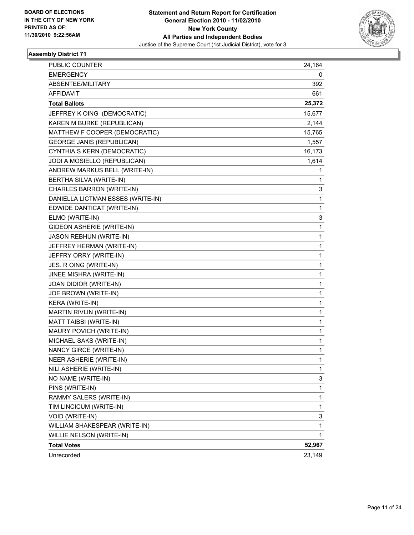

| <b>PUBLIC COUNTER</b>             | 24,164 |
|-----------------------------------|--------|
| <b>EMERGENCY</b>                  | 0      |
| ABSENTEE/MILITARY                 | 392    |
| <b>AFFIDAVIT</b>                  | 661    |
| <b>Total Ballots</b>              | 25,372 |
| JEFFREY K OING (DEMOCRATIC)       | 15,677 |
| KAREN M BURKE (REPUBLICAN)        | 2,144  |
| MATTHEW F COOPER (DEMOCRATIC)     | 15,765 |
| <b>GEORGE JANIS (REPUBLICAN)</b>  | 1,557  |
| CYNTHIA S KERN (DEMOCRATIC)       | 16,173 |
| JODI A MOSIELLO (REPUBLICAN)      | 1,614  |
| ANDREW MARKUS BELL (WRITE-IN)     | 1      |
| BERTHA SILVA (WRITE-IN)           | 1      |
| CHARLES BARRON (WRITE-IN)         | 3      |
| DANIELLA LICTMAN ESSES (WRITE-IN) | 1      |
| EDWIDE DANTICAT (WRITE-IN)        | 1      |
| ELMO (WRITE-IN)                   | 3      |
| GIDEON ASHERIE (WRITE-IN)         | 1      |
| <b>JASON REBHUN (WRITE-IN)</b>    | 1      |
| JEFFREY HERMAN (WRITE-IN)         | 1      |
| JEFFRY ORRY (WRITE-IN)            | 1      |
| JES. R OING (WRITE-IN)            | 1      |
| JINEE MISHRA (WRITE-IN)           | 1      |
| JOAN DIDIOR (WRITE-IN)            | 1      |
| JOE BROWN (WRITE-IN)              | 1      |
| KERA (WRITE-IN)                   | 1      |
| MARTIN RIVLIN (WRITE-IN)          | 1      |
| MATT TAIBBI (WRITE-IN)            | 1      |
| MAURY POVICH (WRITE-IN)           | 1      |
| MICHAEL SAKS (WRITE-IN)           | 1      |
| NANCY GIRCE (WRITE-IN)            | 1      |
| NEER ASHERIE (WRITE-IN)           | 1      |
| NILI ASHERIE (WRITE-IN)           | 1      |
| NO NAME (WRITE-IN)                | 3      |
| PINS (WRITE-IN)                   | 1      |
| RAMMY SALERS (WRITE-IN)           | 1      |
| TIM LINCICUM (WRITE-IN)           | 1      |
| VOID (WRITE-IN)                   | 3      |
| WILLIAM SHAKESPEAR (WRITE-IN)     | 1      |
| WILLIE NELSON (WRITE-IN)          | 1      |
| <b>Total Votes</b>                | 52,967 |
| Unrecorded                        | 23,149 |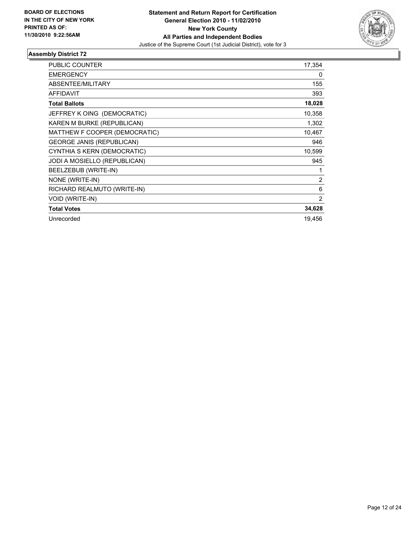

| <b>PUBLIC COUNTER</b>            | 17,354         |
|----------------------------------|----------------|
| <b>EMERGENCY</b>                 | 0              |
| ABSENTEE/MILITARY                | 155            |
| <b>AFFIDAVIT</b>                 | 393            |
| <b>Total Ballots</b>             | 18,028         |
| JEFFREY K OING (DEMOCRATIC)      | 10,358         |
| KAREN M BURKE (REPUBLICAN)       | 1,302          |
| MATTHEW F COOPER (DEMOCRATIC)    | 10,467         |
| <b>GEORGE JANIS (REPUBLICAN)</b> | 946            |
| CYNTHIA S KERN (DEMOCRATIC)      | 10,599         |
| JODI A MOSIELLO (REPUBLICAN)     | 945            |
| BEELZEBUB (WRITE-IN)             | 1              |
| NONE (WRITE-IN)                  | $\overline{2}$ |
| RICHARD REALMUTO (WRITE-IN)      | 6              |
| <b>VOID (WRITE-IN)</b>           | 2              |
| <b>Total Votes</b>               | 34,628         |
| Unrecorded                       | 19,456         |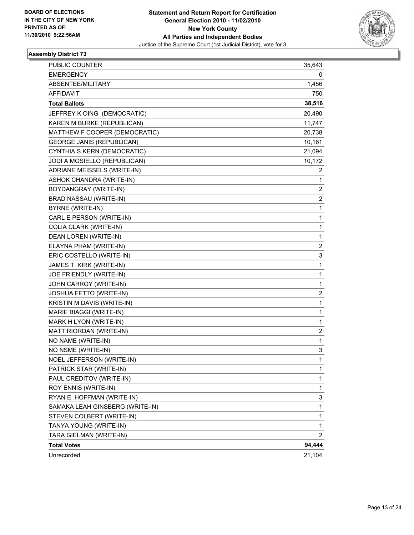

| PUBLIC COUNTER                   | 35,643         |
|----------------------------------|----------------|
| <b>EMERGENCY</b>                 | 0              |
| ABSENTEE/MILITARY                | 1,456          |
| <b>AFFIDAVIT</b>                 | 750            |
| <b>Total Ballots</b>             | 38,516         |
| JEFFREY K OING (DEMOCRATIC)      | 20,490         |
| KAREN M BURKE (REPUBLICAN)       | 11,747         |
| MATTHEW F COOPER (DEMOCRATIC)    | 20,738         |
| <b>GEORGE JANIS (REPUBLICAN)</b> | 10,161         |
| CYNTHIA S KERN (DEMOCRATIC)      | 21,094         |
| JODI A MOSIELLO (REPUBLICAN)     | 10,172         |
| ADRIANE MEISSELS (WRITE-IN)      | 2              |
| ASHOK CHANDRA (WRITE-IN)         | 1              |
| BOYDANGRAY (WRITE-IN)            | 2              |
| BRAD NASSAU (WRITE-IN)           | 2              |
| <b>BYRNE (WRITE-IN)</b>          | 1              |
| CARL E PERSON (WRITE-IN)         | 1              |
| COLIA CLARK (WRITE-IN)           | 1              |
| <b>DEAN LOREN (WRITE-IN)</b>     | 1              |
| ELAYNA PHAM (WRITE-IN)           | 2              |
| ERIC COSTELLO (WRITE-IN)         | 3              |
| JAMES T. KIRK (WRITE-IN)         | 1              |
| JOE FRIENDLY (WRITE-IN)          | 1              |
| JOHN CARROY (WRITE-IN)           | 1              |
| JOSHUA FETTO (WRITE-IN)          | 2              |
| KRISTIN M DAVIS (WRITE-IN)       | $\mathbf 1$    |
| MARIE BIAGGI (WRITE-IN)          | 1              |
| MARK H LYON (WRITE-IN)           | 1              |
| MATT RIORDAN (WRITE-IN)          | 2              |
| NO NAME (WRITE-IN)               | 1              |
| NO NSME (WRITE-IN)               | 3              |
| NOEL JEFFERSON (WRITE-IN)        | 1              |
| PATRICK STAR (WRITE-IN)          | 1              |
| PAUL CREDITOV (WRITE-IN)         | 1              |
| ROY ENNIS (WRITE-IN)             | 1              |
| RYAN E. HOFFMAN (WRITE-IN)       | 3              |
| SAMAKA LEAH GINSBERG (WRITE-IN)  | $\mathbf 1$    |
| STEVEN COLBERT (WRITE-IN)        | 1              |
| TANYA YOUNG (WRITE-IN)           | 1              |
| TARA GIELMAN (WRITE-IN)          | $\overline{c}$ |
| <b>Total Votes</b>               | 94,444         |
| Unrecorded                       | 21,104         |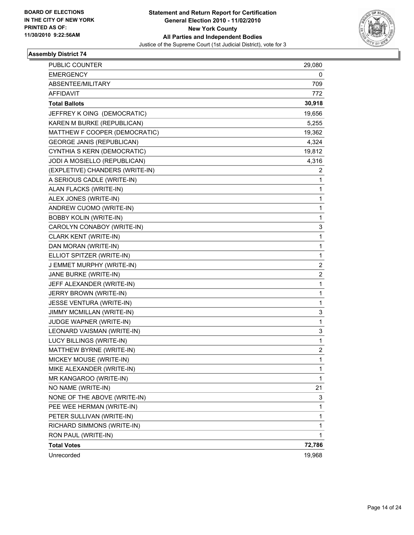

| PUBLIC COUNTER                   | 29,080                  |
|----------------------------------|-------------------------|
| <b>EMERGENCY</b>                 | 0                       |
| ABSENTEE/MILITARY                | 709                     |
| AFFIDAVIT                        | 772                     |
| <b>Total Ballots</b>             | 30,918                  |
| JEFFREY K OING (DEMOCRATIC)      | 19,656                  |
| KAREN M BURKE (REPUBLICAN)       | 5,255                   |
| MATTHEW F COOPER (DEMOCRATIC)    | 19,362                  |
| <b>GEORGE JANIS (REPUBLICAN)</b> | 4,324                   |
| CYNTHIA S KERN (DEMOCRATIC)      | 19,812                  |
| JODI A MOSIELLO (REPUBLICAN)     | 4,316                   |
| (EXPLETIVE) CHANDERS (WRITE-IN)  | 2                       |
| A SERIOUS CADLE (WRITE-IN)       | 1                       |
| ALAN FLACKS (WRITE-IN)           | 1                       |
| ALEX JONES (WRITE-IN)            | 1                       |
| ANDREW CUOMO (WRITE-IN)          | 1                       |
| <b>BOBBY KOLIN (WRITE-IN)</b>    | 1                       |
| CAROLYN CONABOY (WRITE-IN)       | 3                       |
| <b>CLARK KENT (WRITE-IN)</b>     | $\mathbf 1$             |
| DAN MORAN (WRITE-IN)             | 1                       |
| ELLIOT SPITZER (WRITE-IN)        | 1                       |
| J EMMET MURPHY (WRITE-IN)        | 2                       |
| JANE BURKE (WRITE-IN)            | $\overline{\mathbf{c}}$ |
| JEFF ALEXANDER (WRITE-IN)        | 1                       |
| JERRY BROWN (WRITE-IN)           | 1                       |
| JESSE VENTURA (WRITE-IN)         | 1                       |
| JIMMY MCMILLAN (WRITE-IN)        | 3                       |
| JUDGE WAPNER (WRITE-IN)          | 1                       |
| LEONARD VAISMAN (WRITE-IN)       | 3                       |
| LUCY BILLINGS (WRITE-IN)         | 1                       |
| MATTHEW BYRNE (WRITE-IN)         | $\overline{\mathbf{c}}$ |
| MICKEY MOUSE (WRITE-IN)          | 1                       |
| MIKE ALEXANDER (WRITE-IN)        | 1                       |
| MR KANGAROO (WRITE-IN)           | 1                       |
| NO NAME (WRITE-IN)               | 21                      |
| NONE OF THE ABOVE (WRITE-IN)     | 3                       |
| PEE WEE HERMAN (WRITE-IN)        | 1                       |
| PETER SULLIVAN (WRITE-IN)        | 1                       |
| RICHARD SIMMONS (WRITE-IN)       | 1                       |
| RON PAUL (WRITE-IN)              | $\mathbf{1}$            |
| <b>Total Votes</b>               | 72,786                  |
| Unrecorded                       | 19,968                  |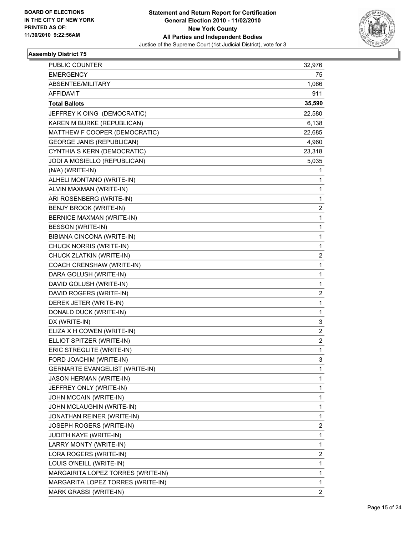

| <b>PUBLIC COUNTER</b>                 | 32,976         |
|---------------------------------------|----------------|
| <b>EMERGENCY</b>                      | 75             |
| ABSENTEE/MILITARY                     | 1,066          |
| <b>AFFIDAVIT</b>                      | 911            |
| <b>Total Ballots</b>                  | 35,590         |
| JEFFREY K OING (DEMOCRATIC)           | 22,580         |
| KAREN M BURKE (REPUBLICAN)            | 6,138          |
| MATTHEW F COOPER (DEMOCRATIC)         | 22,685         |
| <b>GEORGE JANIS (REPUBLICAN)</b>      | 4,960          |
| CYNTHIA S KERN (DEMOCRATIC)           | 23,318         |
| JODI A MOSIELLO (REPUBLICAN)          | 5,035          |
| (N/A) (WRITE-IN)                      | 1              |
| ALHELI MONTANO (WRITE-IN)             | 1              |
| ALVIN MAXMAN (WRITE-IN)               | 1              |
| ARI ROSENBERG (WRITE-IN)              | 1              |
| BENJY BROOK (WRITE-IN)                | 2              |
| BERNICE MAXMAN (WRITE-IN)             | 1              |
| BESSON (WRITE-IN)                     | 1              |
| BIBIANA CINCONA (WRITE-IN)            | 1              |
| CHUCK NORRIS (WRITE-IN)               | 1              |
| CHUCK ZLATKIN (WRITE-IN)              | 2              |
| COACH CRENSHAW (WRITE-IN)             | 1              |
| DARA GOLUSH (WRITE-IN)                | 1              |
| DAVID GOLUSH (WRITE-IN)               | 1              |
| DAVID ROGERS (WRITE-IN)               | 2              |
| DEREK JETER (WRITE-IN)                | 1              |
| DONALD DUCK (WRITE-IN)                | 1              |
| DX (WRITE-IN)                         | 3              |
| ELIZA X H COWEN (WRITE-IN)            | 2              |
| ELLIOT SPITZER (WRITE-IN)             | 2              |
| ERIC STREGLITE (WRITE-IN)             | 1              |
| FORD JOACHIM (WRITE-IN)               | 3              |
| <b>GERNARTE EVANGELIST (WRITE-IN)</b> | 1              |
| JASON HERMAN (WRITE-IN)               | 1              |
| JEFFREY ONLY (WRITE-IN)               | 1              |
| JOHN MCCAIN (WRITE-IN)                | 1              |
| JOHN MCLAUGHIN (WRITE-IN)             | 1              |
| JONATHAN REINER (WRITE-IN)            | 1              |
| <b>JOSEPH ROGERS (WRITE-IN)</b>       | 2              |
| JUDITH KAYE (WRITE-IN)                | 1              |
| LARRY MONTY (WRITE-IN)                | 1              |
| LORA ROGERS (WRITE-IN)                | 2              |
| LOUIS O'NEILL (WRITE-IN)              | 1              |
| MARGAIRITA LOPEZ TORRES (WRITE-IN)    | 1              |
| MARGARITA LOPEZ TORRES (WRITE-IN)     | 1              |
| MARK GRASSI (WRITE-IN)                | $\overline{c}$ |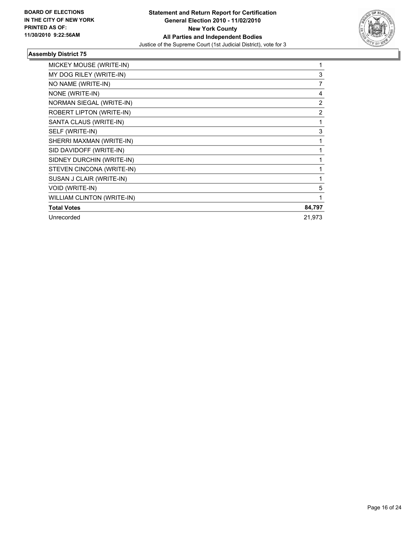

| MICKEY MOUSE (WRITE-IN)           | 1              |
|-----------------------------------|----------------|
| MY DOG RILEY (WRITE-IN)           | 3              |
| NO NAME (WRITE-IN)                | 7              |
| NONE (WRITE-IN)                   | 4              |
| NORMAN SIEGAL (WRITE-IN)          | 2              |
| ROBERT LIPTON (WRITE-IN)          | $\overline{2}$ |
| SANTA CLAUS (WRITE-IN)            | 1              |
| SELF (WRITE-IN)                   | 3              |
| SHERRI MAXMAN (WRITE-IN)          | 1              |
| SID DAVIDOFF (WRITE-IN)           | 1              |
| SIDNEY DURCHIN (WRITE-IN)         | 1              |
| STEVEN CINCONA (WRITE-IN)         | 1              |
| SUSAN J CLAIR (WRITE-IN)          | 1              |
| VOID (WRITE-IN)                   | 5              |
| <b>WILLIAM CLINTON (WRITE-IN)</b> | 1              |
| <b>Total Votes</b>                | 84,797         |
| Unrecorded                        | 21,973         |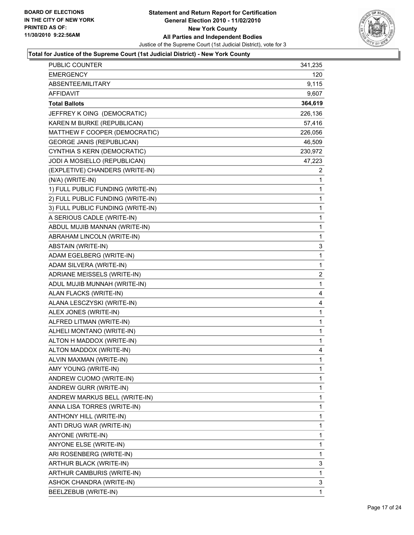

| <b>PUBLIC COUNTER</b>             | 341,235                 |
|-----------------------------------|-------------------------|
| <b>EMERGENCY</b>                  | 120                     |
| ABSENTEE/MILITARY                 | 9,115                   |
| AFFIDAVIT                         | 9,607                   |
| <b>Total Ballots</b>              | 364,619                 |
| JEFFREY K OING (DEMOCRATIC)       | 226,136                 |
| KAREN M BURKE (REPUBLICAN)        | 57,416                  |
| MATTHEW F COOPER (DEMOCRATIC)     | 226,056                 |
| <b>GEORGE JANIS (REPUBLICAN)</b>  | 46,509                  |
| CYNTHIA S KERN (DEMOCRATIC)       | 230,972                 |
| JODI A MOSIELLO (REPUBLICAN)      | 47,223                  |
| (EXPLETIVE) CHANDERS (WRITE-IN)   | 2                       |
| (N/A) (WRITE-IN)                  | 1                       |
| 1) FULL PUBLIC FUNDING (WRITE-IN) | $\mathbf 1$             |
| 2) FULL PUBLIC FUNDING (WRITE-IN) | $\mathbf 1$             |
| 3) FULL PUBLIC FUNDING (WRITE-IN) | 1                       |
| A SERIOUS CADLE (WRITE-IN)        | $\mathbf 1$             |
| ABDUL MUJIB MANNAN (WRITE-IN)     | $\mathbf 1$             |
| ABRAHAM LINCOLN (WRITE-IN)        | 1                       |
| ABSTAIN (WRITE-IN)                | 3                       |
| ADAM EGELBERG (WRITE-IN)          | $\mathbf 1$             |
| ADAM SILVERA (WRITE-IN)           | 1                       |
| ADRIANE MEISSELS (WRITE-IN)       | $\overline{\mathbf{c}}$ |
| ADUL MUJIB MUNNAH (WRITE-IN)      | $\mathbf 1$             |
| ALAN FLACKS (WRITE-IN)            | 4                       |
| ALANA LESCZYSKI (WRITE-IN)        | 4                       |
| ALEX JONES (WRITE-IN)             | $\mathbf 1$             |
| ALFRED LITMAN (WRITE-IN)          | 1                       |
| ALHELI MONTANO (WRITE-IN)         | $\mathbf 1$             |
| ALTON H MADDOX (WRITE-IN)         | $\mathbf{1}$            |
| ALTON MADDOX (WRITE-IN)           | 4                       |
| ALVIN MAXMAN (WRITE-IN)           | $\mathbf{1}$            |
| AMY YOUNG (WRITE-IN)              | 1                       |
| ANDREW CUOMO (WRITE-IN)           | 1                       |
| ANDREW GURR (WRITE-IN)            | 1                       |
| ANDREW MARKUS BELL (WRITE-IN)     | 1                       |
| ANNA LISA TORRES (WRITE-IN)       | 1                       |
| ANTHONY HILL (WRITE-IN)           | 1                       |
| ANTI DRUG WAR (WRITE-IN)          | 1                       |
| ANYONE (WRITE-IN)                 | 1                       |
| ANYONE ELSE (WRITE-IN)            | 1                       |
| ARI ROSENBERG (WRITE-IN)          | 1                       |
| ARTHUR BLACK (WRITE-IN)           | 3                       |
| ARTHUR CAMBURIS (WRITE-IN)        | 1                       |
| ASHOK CHANDRA (WRITE-IN)          | 3                       |
| BEELZEBUB (WRITE-IN)              | 1                       |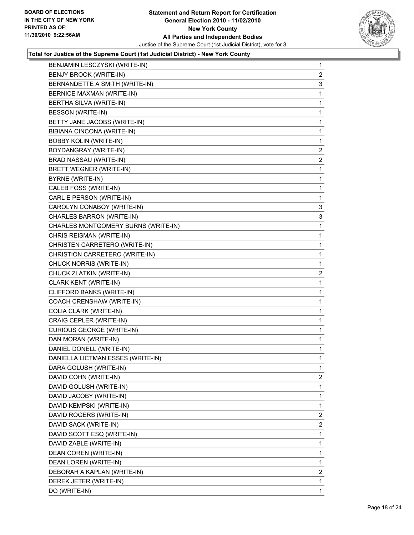

| BENJAMIN LESCZYSKI (WRITE-IN)       | $\mathbf 1$    |
|-------------------------------------|----------------|
| BENJY BROOK (WRITE-IN)              | 2              |
| BERNANDETTE A SMITH (WRITE-IN)      | 3              |
| BERNICE MAXMAN (WRITE-IN)           | 1              |
| BERTHA SILVA (WRITE-IN)             | 1              |
| BESSON (WRITE-IN)                   | 1              |
| BETTY JANE JACOBS (WRITE-IN)        | 1              |
| BIBIANA CINCONA (WRITE-IN)          | 1              |
| <b>BOBBY KOLIN (WRITE-IN)</b>       | 1              |
| BOYDANGRAY (WRITE-IN)               | 2              |
| BRAD NASSAU (WRITE-IN)              | 2              |
| BRETT WEGNER (WRITE-IN)             | 1              |
| BYRNE (WRITE-IN)                    | 1              |
| CALEB FOSS (WRITE-IN)               | 1              |
| CARL E PERSON (WRITE-IN)            | 1              |
| CAROLYN CONABOY (WRITE-IN)          | 3              |
| CHARLES BARRON (WRITE-IN)           | 3              |
| CHARLES MONTGOMERY BURNS (WRITE-IN) | 1              |
| CHRIS REISMAN (WRITE-IN)            | 1              |
| CHRISTEN CARRETERO (WRITE-IN)       | 1              |
| CHRISTION CARRETERO (WRITE-IN)      | 1              |
| CHUCK NORRIS (WRITE-IN)             | 1              |
| CHUCK ZLATKIN (WRITE-IN)            | 2              |
| CLARK KENT (WRITE-IN)               | 1              |
| CLIFFORD BANKS (WRITE-IN)           | 1              |
| COACH CRENSHAW (WRITE-IN)           | 1              |
| COLIA CLARK (WRITE-IN)              | 1              |
| CRAIG CEPLER (WRITE-IN)             | 1              |
| <b>CURIOUS GEORGE (WRITE-IN)</b>    | 1              |
| DAN MORAN (WRITE-IN)                | 1              |
| DANIEL DONELL (WRITE-IN)            | 1              |
| DANIELLA LICTMAN ESSES (WRITE-IN)   | 1              |
| DARA GOLUSH (WRITE-IN)              | 1              |
| DAVID COHN (WRITE-IN)               | $\mathbf{2}$   |
| DAVID GOLUSH (WRITE-IN)             | 1              |
| DAVID JACOBY (WRITE-IN)             | 1              |
| DAVID KEMPSKI (WRITE-IN)            | 1              |
| DAVID ROGERS (WRITE-IN)             | $\overline{2}$ |
| DAVID SACK (WRITE-IN)               | 2              |
| DAVID SCOTT ESQ (WRITE-IN)          | 1              |
| DAVID ZABLE (WRITE-IN)              | 1              |
| DEAN COREN (WRITE-IN)               | 1              |
| DEAN LOREN (WRITE-IN)               | 1              |
| DEBORAH A KAPLAN (WRITE-IN)         | $\overline{2}$ |
| DEREK JETER (WRITE-IN)              | 1              |
| DO (WRITE-IN)                       | 1              |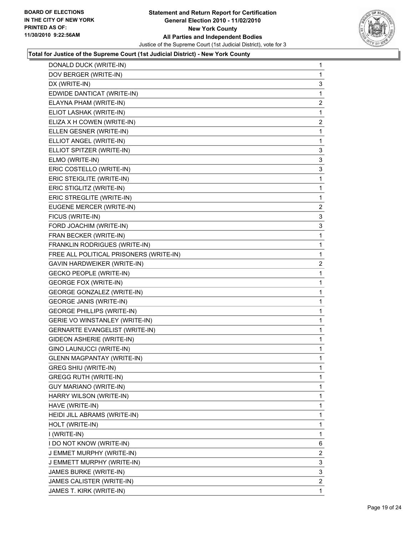

| DONALD DUCK (WRITE-IN)                  | 1            |
|-----------------------------------------|--------------|
| DOV BERGER (WRITE-IN)                   | 1            |
| DX (WRITE-IN)                           | 3            |
| EDWIDE DANTICAT (WRITE-IN)              | 1            |
| ELAYNA PHAM (WRITE-IN)                  | 2            |
| ELIOT LASHAK (WRITE-IN)                 | 1            |
| ELIZA X H COWEN (WRITE-IN)              | 2            |
| ELLEN GESNER (WRITE-IN)                 | 1            |
| ELLIOT ANGEL (WRITE-IN)                 | 1            |
| ELLIOT SPITZER (WRITE-IN)               | 3            |
| ELMO (WRITE-IN)                         | 3            |
| ERIC COSTELLO (WRITE-IN)                | 3            |
| ERIC STEIGLITE (WRITE-IN)               | 1            |
| ERIC STIGLITZ (WRITE-IN)                | 1            |
| ERIC STREGLITE (WRITE-IN)               | 1            |
| EUGENE MERCER (WRITE-IN)                | 2            |
| FICUS (WRITE-IN)                        | 3            |
| FORD JOACHIM (WRITE-IN)                 | 3            |
| FRAN BECKER (WRITE-IN)                  | 1            |
| FRANKLIN RODRIGUES (WRITE-IN)           | 1            |
| FREE ALL POLITICAL PRISONERS (WRITE-IN) | 1            |
| GAVIN HARDWEIKER (WRITE-IN)             | 2            |
| <b>GECKO PEOPLE (WRITE-IN)</b>          | 1            |
| <b>GEORGE FOX (WRITE-IN)</b>            | 1            |
| <b>GEORGE GONZALEZ (WRITE-IN)</b>       | 1            |
| <b>GEORGE JANIS (WRITE-IN)</b>          | 1            |
| <b>GEORGE PHILLIPS (WRITE-IN)</b>       | 1            |
| GERIE VO WINSTANLEY (WRITE-IN)          | 1            |
| <b>GERNARTE EVANGELIST (WRITE-IN)</b>   | 1            |
| GIDEON ASHERIE (WRITE-IN)               | 1            |
| GINO LAUNUCCI (WRITE-IN)                | 1            |
| <b>GLENN MAGPANTAY (WRITE-IN)</b>       | 1            |
| GREG SHIU (WRITE-IN)                    | 1            |
| <b>GREGG RUTH (WRITE-IN)</b>            | 1            |
| GUY MARIANO (WRITE-IN)                  | 1            |
| HARRY WILSON (WRITE-IN)                 | 1            |
| HAVE (WRITE-IN)                         | 1            |
| HEIDI JILL ABRAMS (WRITE-IN)            | 1            |
| HOLT (WRITE-IN)                         | 1            |
| I (WRITE-IN)                            | 1            |
| I DO NOT KNOW (WRITE-IN)                | 6            |
| J EMMET MURPHY (WRITE-IN)               | $\mathbf{2}$ |
| J EMMETT MURPHY (WRITE-IN)              | 3            |
| JAMES BURKE (WRITE-IN)                  | 3            |
| JAMES CALISTER (WRITE-IN)               | $\mathbf{2}$ |
| JAMES T. KIRK (WRITE-IN)                | $\mathbf{1}$ |
|                                         |              |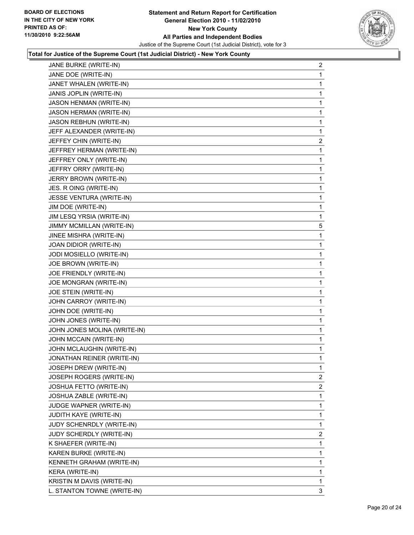

| JANE BURKE (WRITE-IN)          | 2              |
|--------------------------------|----------------|
| JANE DOE (WRITE-IN)            | 1              |
| JANET WHALEN (WRITE-IN)        | 1              |
| JANIS JOPLIN (WRITE-IN)        | 1              |
| JASON HENMAN (WRITE-IN)        | 1              |
| JASON HERMAN (WRITE-IN)        | 1              |
| <b>JASON REBHUN (WRITE-IN)</b> | 1              |
| JEFF ALEXANDER (WRITE-IN)      | 1              |
| JEFFEY CHIN (WRITE-IN)         | 2              |
| JEFFREY HERMAN (WRITE-IN)      | 1              |
| JEFFREY ONLY (WRITE-IN)        | 1              |
| JEFFRY ORRY (WRITE-IN)         | 1              |
| JERRY BROWN (WRITE-IN)         | 1              |
| JES. R OING (WRITE-IN)         | 1              |
| JESSE VENTURA (WRITE-IN)       | 1              |
| JIM DOE (WRITE-IN)             | 1              |
| JIM LESQ YRSIA (WRITE-IN)      | 1              |
| JIMMY MCMILLAN (WRITE-IN)      | 5              |
| JINEE MISHRA (WRITE-IN)        | 1              |
| JOAN DIDIOR (WRITE-IN)         | 1              |
| JODI MOSIELLO (WRITE-IN)       | 1              |
| JOE BROWN (WRITE-IN)           | 1              |
| JOE FRIENDLY (WRITE-IN)        | 1              |
| JOE MONGRAN (WRITE-IN)         | 1              |
| JOE STEIN (WRITE-IN)           | 1              |
| JOHN CARROY (WRITE-IN)         | 1              |
| JOHN DOE (WRITE-IN)            | 1              |
| JOHN JONES (WRITE-IN)          | 1              |
| JOHN JONES MOLINA (WRITE-IN)   | 1              |
| JOHN MCCAIN (WRITE-IN)         | 1              |
| JOHN MCLAUGHIN (WRITE-IN)      | 1              |
| JONATHAN REINER (WRITE-IN)     | 1              |
| JOSEPH DREW (WRITE-IN)         | 1              |
| JOSEPH ROGERS (WRITE-IN)       | 2              |
| JOSHUA FETTO (WRITE-IN)        | $\overline{2}$ |
| JOSHUA ZABLE (WRITE-IN)        | 1              |
| JUDGE WAPNER (WRITE-IN)        | 1              |
| JUDITH KAYE (WRITE-IN)         | 1              |
| JUDY SCHENRDLY (WRITE-IN)      | 1              |
| JUDY SCHERDLY (WRITE-IN)       | 2              |
| K SHAEFER (WRITE-IN)           | 1              |
| KAREN BURKE (WRITE-IN)         | 1              |
| KENNETH GRAHAM (WRITE-IN)      | 1              |
| KERA (WRITE-IN)                | 1              |
| KRISTIN M DAVIS (WRITE-IN)     | 1              |
| L. STANTON TOWNE (WRITE-IN)    | 3              |
|                                |                |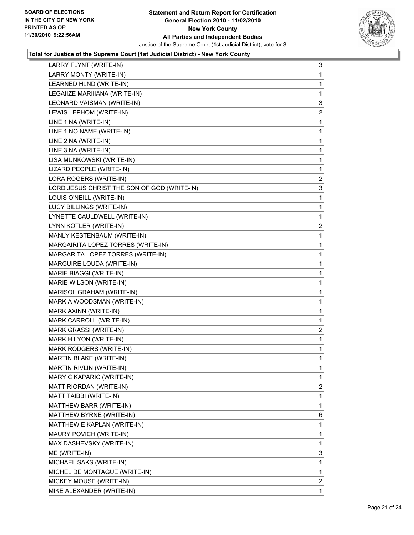

| LARRY FLYNT (WRITE-IN)                      | 3            |
|---------------------------------------------|--------------|
| LARRY MONTY (WRITE-IN)                      | 1            |
| LEARNED HLND (WRITE-IN)                     | 1            |
| LEGAIIZE MARIIIANA (WRITE-IN)               | 1            |
| LEONARD VAISMAN (WRITE-IN)                  | 3            |
| LEWIS LEPHOM (WRITE-IN)                     | 2            |
| LINE 1 NA (WRITE-IN)                        | 1            |
| LINE 1 NO NAME (WRITE-IN)                   | 1            |
| LINE 2 NA (WRITE-IN)                        | 1            |
| LINE 3 NA (WRITE-IN)                        | 1            |
| LISA MUNKOWSKI (WRITE-IN)                   | 1            |
| LIZARD PEOPLE (WRITE-IN)                    | 1            |
| LORA ROGERS (WRITE-IN)                      | $\mathbf{2}$ |
| LORD JESUS CHRIST THE SON OF GOD (WRITE-IN) | 3            |
| LOUIS O'NEILL (WRITE-IN)                    | 1            |
| LUCY BILLINGS (WRITE-IN)                    | 1            |
| LYNETTE CAULDWELL (WRITE-IN)                | 1            |
| LYNN KOTLER (WRITE-IN)                      | 2            |
| MANLY KESTENBAUM (WRITE-IN)                 | 1            |
| MARGAIRITA LOPEZ TORRES (WRITE-IN)          | 1            |
| MARGARITA LOPEZ TORRES (WRITE-IN)           | 1            |
| MARGUIRE LOUDA (WRITE-IN)                   | 1            |
| MARIE BIAGGI (WRITE-IN)                     | 1            |
| MARIE WILSON (WRITE-IN)                     | 1            |
| MARISOL GRAHAM (WRITE-IN)                   | 1            |
| MARK A WOODSMAN (WRITE-IN)                  | 1            |
| MARK AXINN (WRITE-IN)                       | 1            |
| MARK CARROLL (WRITE-IN)                     | 1            |
| MARK GRASSI (WRITE-IN)                      | 2            |
| MARK H LYON (WRITE-IN)                      | 1            |
| MARK RODGERS (WRITE-IN)                     | 1.           |
| MARTIN BLAKE (WRITE-IN)                     | 1            |
| MARTIN RIVLIN (WRITE-IN)                    | 1            |
| MARY C KAPARIC (WRITE-IN)                   | $\mathbf{1}$ |
| MATT RIORDAN (WRITE-IN)                     | 2            |
| MATT TAIBBI (WRITE-IN)                      | 1            |
| MATTHEW BARR (WRITE-IN)                     | 1            |
| MATTHEW BYRNE (WRITE-IN)                    | 6            |
| MATTHEW E KAPLAN (WRITE-IN)                 | 1            |
| MAURY POVICH (WRITE-IN)                     | 1            |
| MAX DASHEVSKY (WRITE-IN)                    | 1            |
| ME (WRITE-IN)                               | 3            |
| MICHAEL SAKS (WRITE-IN)                     | 1            |
| MICHEL DE MONTAGUE (WRITE-IN)               | 1            |
| MICKEY MOUSE (WRITE-IN)                     | $\mathbf{2}$ |
| MIKE ALEXANDER (WRITE-IN)                   | 1.           |
|                                             |              |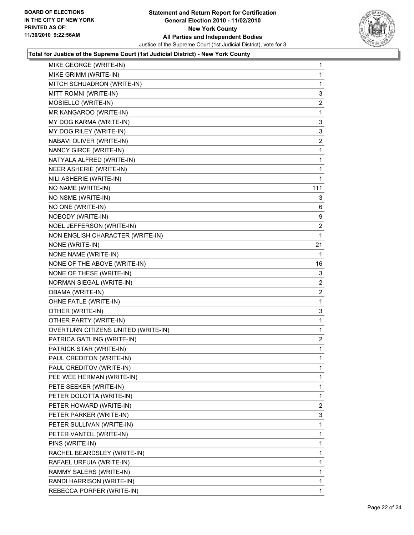

| MIKE GEORGE (WRITE-IN)              | 1              |
|-------------------------------------|----------------|
| MIKE GRIMM (WRITE-IN)               | 1              |
| MITCH SCHUADRON (WRITE-IN)          | 1              |
| MITT ROMNI (WRITE-IN)               | 3              |
| MOSIELLO (WRITE-IN)                 | 2              |
| MR KANGAROO (WRITE-IN)              | 1              |
| MY DOG KARMA (WRITE-IN)             | 3              |
| MY DOG RILEY (WRITE-IN)             | 3              |
| NABAVI OLIVER (WRITE-IN)            | 2              |
| NANCY GIRCE (WRITE-IN)              | 1              |
| NATYALA ALFRED (WRITE-IN)           | 1              |
| NEER ASHERIE (WRITE-IN)             | 1              |
| NILI ASHERIE (WRITE-IN)             | 1              |
| NO NAME (WRITE-IN)                  | 111            |
| NO NSME (WRITE-IN)                  | 3              |
| NO ONE (WRITE-IN)                   | 6              |
| NOBODY (WRITE-IN)                   | 9              |
| NOEL JEFFERSON (WRITE-IN)           | 2              |
| NON ENGLISH CHARACTER (WRITE-IN)    | 1              |
| NONE (WRITE-IN)                     | 21             |
| NONE NAME (WRITE-IN)                | 1              |
| NONE OF THE ABOVE (WRITE-IN)        | 16             |
| NONE OF THESE (WRITE-IN)            | 3              |
| NORMAN SIEGAL (WRITE-IN)            | 2              |
| OBAMA (WRITE-IN)                    | 2              |
| OHNE FATLE (WRITE-IN)               | 1              |
| OTHER (WRITE-IN)                    | 3              |
| OTHER PARTY (WRITE-IN)              | 1              |
| OVERTURN CITIZENS UNITED (WRITE-IN) | 1              |
| PATRICA GATLING (WRITE-IN)          | $\overline{2}$ |
| PATRICK STAR (WRITE-IN)             | 1              |
| PAUL CREDITON (WRITE-IN)            | 1              |
| PAUL CREDITOV (WRITE-IN)            | 1              |
| PEE WEE HERMAN (WRITE-IN)           | 1              |
| PETE SEEKER (WRITE-IN)              | 1              |
| PETER DOLOTTA (WRITE-IN)            | 1              |
| PETER HOWARD (WRITE-IN)             | $\overline{2}$ |
| PETER PARKER (WRITE-IN)             | 3              |
| PETER SULLIVAN (WRITE-IN)           | 1              |
| PETER VANTOL (WRITE-IN)             | 1              |
| PINS (WRITE-IN)                     | 1              |
| RACHEL BEARDSLEY (WRITE-IN)         | 1              |
| RAFAEL URFUIA (WRITE-IN)            | 1              |
| RAMMY SALERS (WRITE-IN)             | 1              |
| RANDI HARRISON (WRITE-IN)           | 1              |
| REBECCA PORPER (WRITE-IN)           | 1              |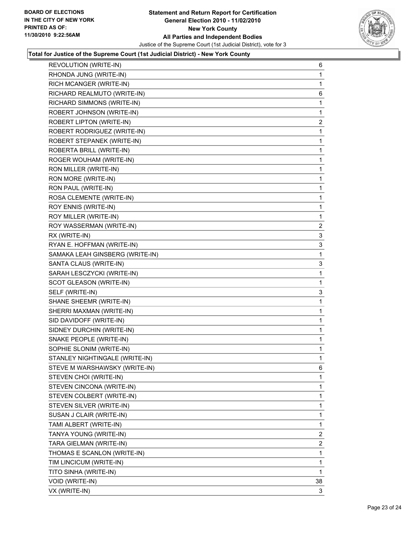

| REVOLUTION (WRITE-IN)           | 6                       |
|---------------------------------|-------------------------|
| RHONDA JUNG (WRITE-IN)          | 1                       |
| RICH MCANGER (WRITE-IN)         | 1                       |
| RICHARD REALMUTO (WRITE-IN)     | 6                       |
| RICHARD SIMMONS (WRITE-IN)      | 1                       |
| ROBERT JOHNSON (WRITE-IN)       | 1                       |
| ROBERT LIPTON (WRITE-IN)        | $\overline{\mathbf{c}}$ |
| ROBERT RODRIGUEZ (WRITE-IN)     | 1                       |
| ROBERT STEPANEK (WRITE-IN)      | 1                       |
| ROBERTA BRILL (WRITE-IN)        | 1                       |
| ROGER WOUHAM (WRITE-IN)         | 1                       |
| RON MILLER (WRITE-IN)           | 1                       |
| RON MORE (WRITE-IN)             | 1                       |
| RON PAUL (WRITE-IN)             | 1                       |
| ROSA CLEMENTE (WRITE-IN)        | 1                       |
| ROY ENNIS (WRITE-IN)            | 1                       |
| ROY MILLER (WRITE-IN)           | 1                       |
| ROY WASSERMAN (WRITE-IN)        | $\overline{2}$          |
| RX (WRITE-IN)                   | 3                       |
| RYAN E. HOFFMAN (WRITE-IN)      | 3                       |
| SAMAKA LEAH GINSBERG (WRITE-IN) | 1                       |
| SANTA CLAUS (WRITE-IN)          | 3                       |
| SARAH LESCZYCKI (WRITE-IN)      | 1                       |
| SCOT GLEASON (WRITE-IN)         | 1                       |
| SELF (WRITE-IN)                 | 3                       |
| SHANE SHEEMR (WRITE-IN)         | 1                       |
| SHERRI MAXMAN (WRITE-IN)        | 1                       |
| SID DAVIDOFF (WRITE-IN)         | 1                       |
| SIDNEY DURCHIN (WRITE-IN)       | 1                       |
| SNAKE PEOPLE (WRITE-IN)         | 1                       |
| SOPHIE SLONIM (WRITE-IN)        | 1                       |
| STANLEY NIGHTINGALE (WRITE-IN)  | 1                       |
| STEVE M WARSHAWSKY (WRITE-IN)   | 6                       |
| STEVEN CHOI (WRITE-IN)          | 1                       |
| STEVEN CINCONA (WRITE-IN)       | 1                       |
| STEVEN COLBERT (WRITE-IN)       | 1                       |
| STEVEN SILVER (WRITE-IN)        | 1                       |
| SUSAN J CLAIR (WRITE-IN)        | 1                       |
| TAMI ALBERT (WRITE-IN)          | 1                       |
| TANYA YOUNG (WRITE-IN)          | 2                       |
| TARA GIELMAN (WRITE-IN)         | $\overline{2}$          |
| THOMAS E SCANLON (WRITE-IN)     | 1                       |
| TIM LINCICUM (WRITE-IN)         | 1                       |
| TITO SINHA (WRITE-IN)           | 1                       |
| VOID (WRITE-IN)                 | 38                      |
| VX (WRITE-IN)                   | 3                       |